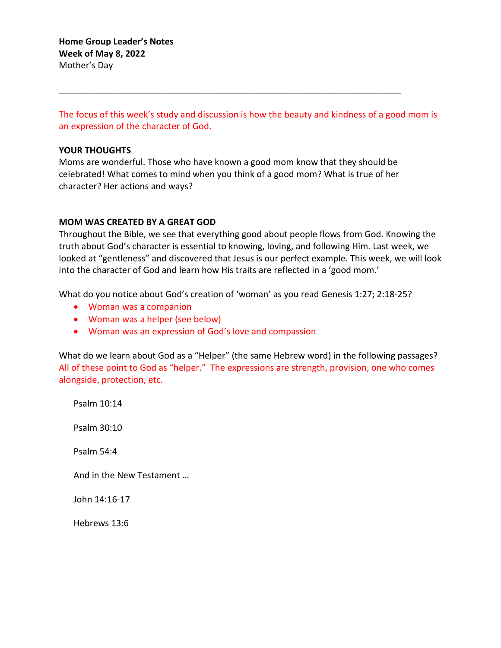The focus of this week's study and discussion is how the beauty and kindness of a good mom is an expression of the character of God.

### **YOUR THOUGHTS**

Moms are wonderful. Those who have known a good mom know that they should be celebrated! What comes to mind when you think of a good mom? What is true of her character? Her actions and ways?

\_\_\_\_\_\_\_\_\_\_\_\_\_\_\_\_\_\_\_\_\_\_\_\_\_\_\_\_\_\_\_\_\_\_\_\_\_\_\_\_\_\_\_\_\_\_\_\_\_\_\_\_\_\_\_\_\_\_\_\_\_\_\_\_\_\_\_\_\_\_

#### **MOM WAS CREATED BY A GREAT GOD**

Throughout the Bible, we see that everything good about people flows from God. Knowing the truth about God's character is essential to knowing, loving, and following Him. Last week, we looked at "gentleness" and discovered that Jesus is our perfect example. This week, we will look into the character of God and learn how His traits are reflected in a 'good mom.'

What do you notice about God's creation of 'woman' as you read Genesis 1:27; 2:18-25?

- Woman was a companion
- Woman was a helper (see below)
- Woman was an expression of God's love and compassion

What do we learn about God as a "Helper" (the same Hebrew word) in the following passages? All of these point to God as "helper." The expressions are strength, provision, one who comes alongside, protection, etc.

Psalm 10:14

Psalm 30:10

Psalm 54:4

And in the New Testament …

John 14:16-17

Hebrews 13:6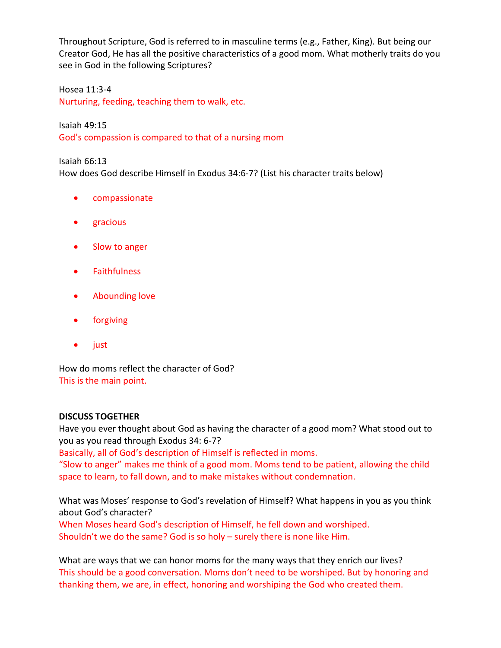Throughout Scripture, God is referred to in masculine terms (e.g., Father, King). But being our Creator God, He has all the positive characteristics of a good mom. What motherly traits do you see in God in the following Scriptures?

Hosea 11:3-4 Nurturing, feeding, teaching them to walk, etc.

Isaiah 49:15 God's compassion is compared to that of a nursing mom

Isaiah 66:13 How does God describe Himself in Exodus 34:6-7? (List his character traits below)

- compassionate
- gracious
- Slow to anger
- Faithfulness
- Abounding love
- forgiving
- just

How do moms reflect the character of God? This is the main point.

# **DISCUSS TOGETHER**

Have you ever thought about God as having the character of a good mom? What stood out to you as you read through Exodus 34: 6-7?

Basically, all of God's description of Himself is reflected in moms.

"Slow to anger" makes me think of a good mom. Moms tend to be patient, allowing the child space to learn, to fall down, and to make mistakes without condemnation.

What was Moses' response to God's revelation of Himself? What happens in you as you think about God's character?

When Moses heard God's description of Himself, he fell down and worshiped. Shouldn't we do the same? God is so holy – surely there is none like Him.

What are ways that we can honor moms for the many ways that they enrich our lives? This should be a good conversation. Moms don't need to be worshiped. But by honoring and thanking them, we are, in effect, honoring and worshiping the God who created them.